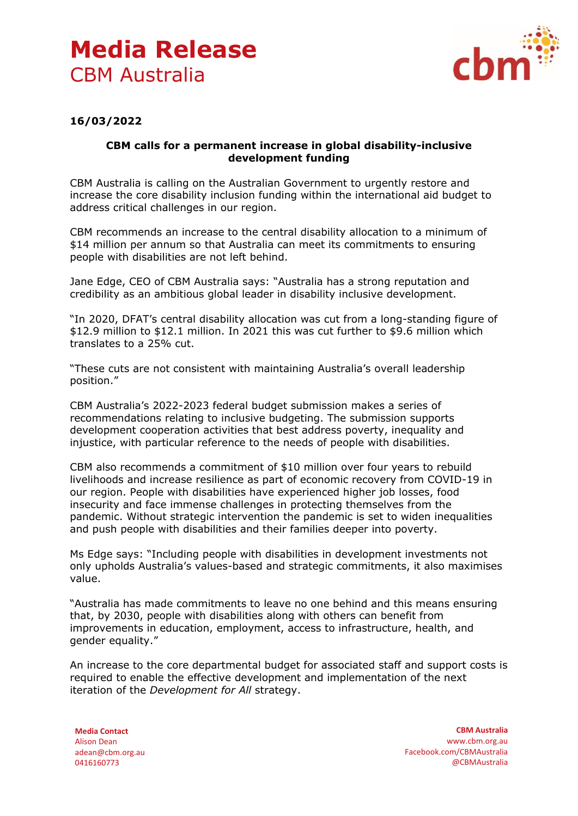## **Media Release** CBM Australia



## **16/03/2022**

## **CBM calls for a permanent increase in global disability-inclusive development funding**

CBM Australia is calling on the Australian Government to urgently restore and increase the core disability inclusion funding within the international aid budget to address critical challenges in our region.

CBM recommends an increase to the central disability allocation to a minimum of \$14 million per annum so that Australia can meet its commitments to ensuring people with disabilities are not left behind.

Jane Edge, CEO of CBM Australia says: "Australia has a strong reputation and credibility as an ambitious global leader in disability inclusive development.

"In 2020, DFAT's central disability allocation was cut from a long-standing figure of \$12.9 million to \$12.1 million. In 2021 this was cut further to \$9.6 million which translates to a 25% cut.

"These cuts are not consistent with maintaining Australia's overall leadership position."

CBM Australia's 2022-2023 federal budget submission makes a series of recommendations relating to inclusive budgeting. The submission supports development cooperation activities that best address poverty, inequality and injustice, with particular reference to the needs of people with disabilities.

CBM also recommends a commitment of \$10 million over four years to rebuild livelihoods and increase resilience as part of economic recovery from COVID-19 in our region. People with disabilities have experienced higher job losses, food insecurity and face immense challenges in protecting themselves from the pandemic. Without strategic intervention the pandemic is set to widen inequalities and push people with disabilities and their families deeper into poverty.

Ms Edge says: "Including people with disabilities in development investments not only upholds Australia's values-based and strategic commitments, it also maximises value.

"Australia has made commitments to leave no one behind and this means ensuring that, by 2030, people with disabilities along with others can benefit from improvements in education, employment, access to infrastructure, health, and gender equality."

An increase to the core departmental budget for associated staff and support costs is required to enable the effective development and implementation of the next iteration of the *Development for All* strategy.

**Media Contact** Alison Dean adean@cbm.org.au 0416160773

**CBM Australia** www.cbm.org.au Facebook.com/CBMAustralia @CBMAustralia